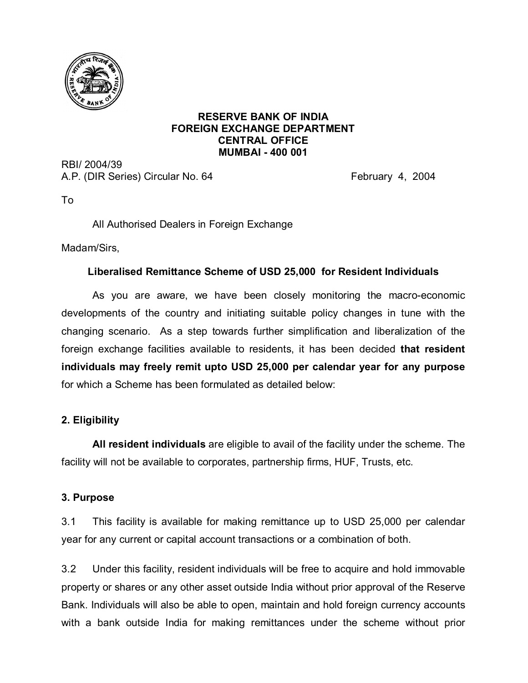

#### **RESERVE BANK OF INDIA FOREIGN EXCHANGE DEPARTMENT CENTRAL OFFICE MUMBAI - 400 001**

RBI/ 2004/39 A.P. (DIR Series) Circular No. 64 February 4, 2004

To

All Authorised Dealers in Foreign Exchange

Madam/Sirs,

## **Liberalised Remittance Scheme of USD 25,000 for Resident Individuals**

As you are aware, we have been closely monitoring the macro-economic developments of the country and initiating suitable policy changes in tune with the changing scenario. As a step towards further simplification and liberalization of the foreign exchange facilities available to residents, it has been decided **that resident individuals may freely remit upto USD 25,000 per calendar year for any purpose** for which a Scheme has been formulated as detailed below:

## **2. Eligibility**

**All resident individuals** are eligible to avail of the facility under the scheme. The facility will not be available to corporates, partnership firms, HUF, Trusts, etc.

## **3. Purpose**

3.1 This facility is available for making remittance up to USD 25,000 per calendar year for any current or capital account transactions or a combination of both.

3.2 Under this facility, resident individuals will be free to acquire and hold immovable property or shares or any other asset outside India without prior approval of the Reserve Bank. Individuals will also be able to open, maintain and hold foreign currency accounts with a bank outside India for making remittances under the scheme without prior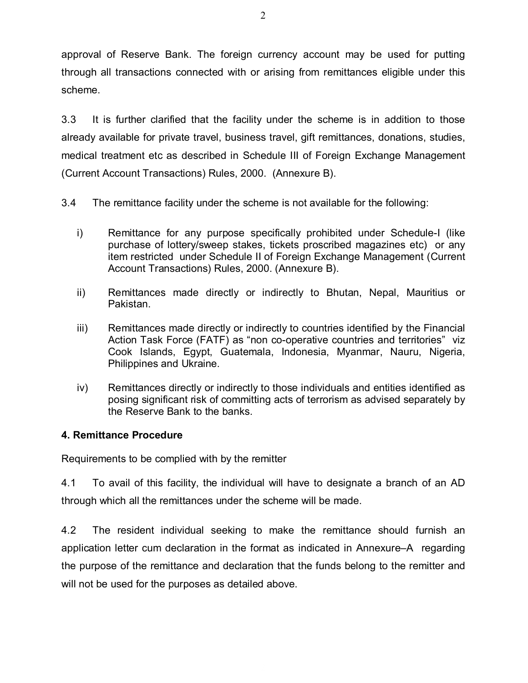approval of Reserve Bank. The foreign currency account may be used for putting through all transactions connected with or arising from remittances eligible under this scheme.

3.3 It is further clarified that the facility under the scheme is in addition to those already available for private travel, business travel, gift remittances, donations, studies, medical treatment etc as described in Schedule III of Foreign Exchange Management (Current Account Transactions) Rules, 2000. (Annexure B).

3.4 The remittance facility under the scheme is not available for the following:

- i) Remittance for any purpose specifically prohibited under Schedule-I (like purchase of lottery/sweep stakes, tickets proscribed magazines etc) or any item restricted under Schedule II of Foreign Exchange Management (Current Account Transactions) Rules, 2000. (Annexure B).
- ii) Remittances made directly or indirectly to Bhutan, Nepal, Mauritius or Pakistan.
- iii) Remittances made directly or indirectly to countries identified by the Financial Action Task Force (FATF) as "non co-operative countries and territories" viz Cook Islands, Egypt, Guatemala, Indonesia, Myanmar, Nauru, Nigeria, Philippines and Ukraine.
- iv) Remittances directly or indirectly to those individuals and entities identified as posing significant risk of committing acts of terrorism as advised separately by the Reserve Bank to the banks.

## **4. Remittance Procedure**

Requirements to be complied with by the remitter

4.1 To avail of this facility, the individual will have to designate a branch of an AD through which all the remittances under the scheme will be made.

4.2 The resident individual seeking to make the remittance should furnish an application letter cum declaration in the format as indicated in Annexure–A regarding the purpose of the remittance and declaration that the funds belong to the remitter and will not be used for the purposes as detailed above.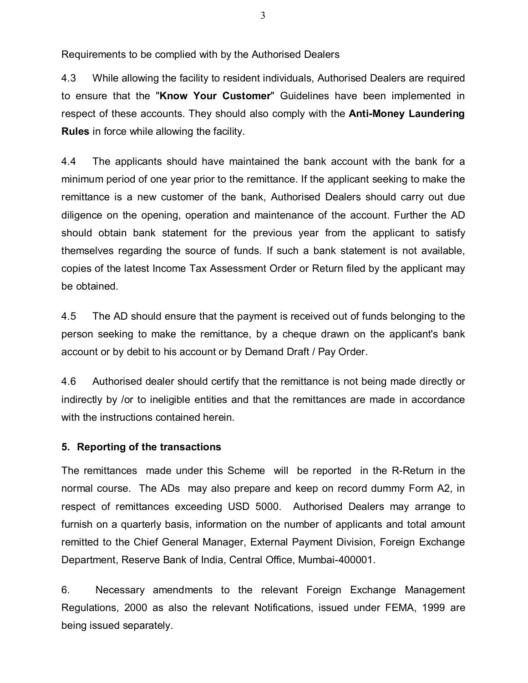Requirements to be complied with by the Authorised Dealers

4.3 While allowing the facility to resident individuals, Authorised Dealers are required to ensure that the "**Know Your Customer**" Guidelines have been implemented in respect of these accounts. They should also comply with the **Anti-Money Laundering Rules** in force while allowing the facility.

4.4 The applicants should have maintained the bank account with the bank for a minimum period of one year prior to the remittance. If the applicant seeking to make the remittance is a new customer of the bank, Authorised Dealers should carry out due diligence on the opening, operation and maintenance of the account. Further the AD should obtain bank statement for the previous year from the applicant to satisfy themselves regarding the source of funds. If such a bank statement is not available, copies of the latest Income Tax Assessment Order or Return filed by the applicant may be obtained.

4.5 The AD should ensure that the payment is received out of funds belonging to the person seeking to make the remittance, by a cheque drawn on the applicant's bank account or by debit to his account or by Demand Draft / Pay Order.

4.6 Authorised dealer should certify that the remittance is not being made directly or indirectly by /or to ineligible entities and that the remittances are made in accordance with the instructions contained herein.

### **5. Reporting of the transactions**

The remittances made under this Scheme will be reported in the R-Return in the normal course. The ADs may also prepare and keep on record dummy Form A2, in respect of remittances exceeding USD 5000. Authorised Dealers may arrange to furnish on a quarterly basis, information on the number of applicants and total amount remitted to the Chief General Manager, External Payment Division, Foreign Exchange Department, Reserve Bank of India, Central Office, Mumbai-400001.

6. Necessary amendments to the relevant Foreign Exchange Management Regulations, 2000 as also the relevant Notifications, issued under FEMA, 1999 are being issued separately.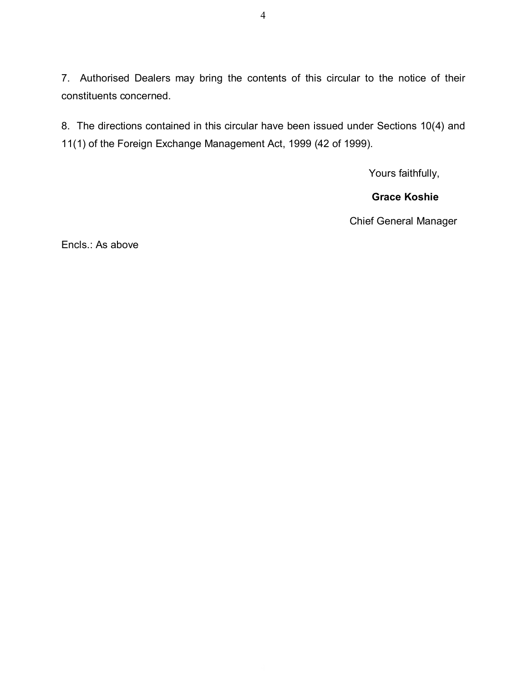7. Authorised Dealers may bring the contents of this circular to the notice of their constituents concerned.

8. The directions contained in this circular have been issued under Sections 10(4) and 11(1) of the Foreign Exchange Management Act, 1999 (42 of 1999).

Yours faithfully,

## **Grace Koshie**

Chief General Manager

Encls.: As above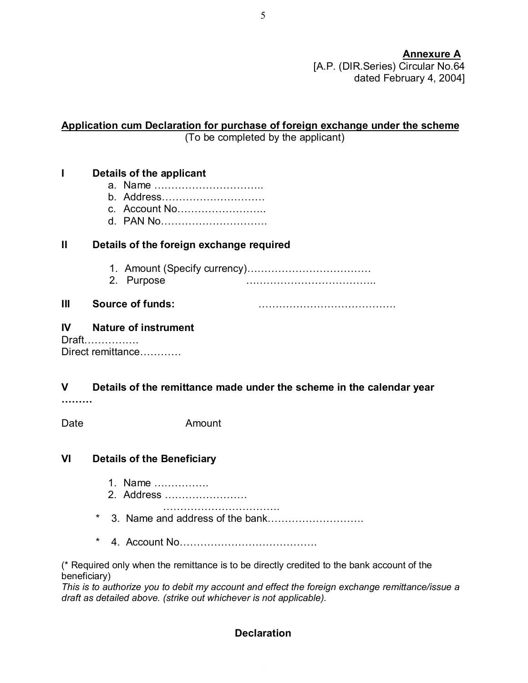**Annexure A** [A.P. (DIR.Series) Circular No.64 dated February 4, 2004]

#### **Application cum Declaration for purchase of foreign exchange under the scheme** (To be completed by the applicant)

# **I Details of the applicant**

- a. Name …………………………..
- b. Address…………………………
- c. Account No……………………..
- d. PAN No………………………….

### **II Details of the foreign exchange required**

- 1. Amount (Specify currency)………………………………
- 2. Purpose ………………………………..

# **III Source of funds:** ………………………………….

#### **IV Nature of instrument** Draft…………….

Direct remittance…………

# **V Details of the remittance made under the scheme in the calendar year**

**………**

Date **Amount** 

### **VI Details of the Beneficiary**

- 1. Name …………….
- 2. Address ……………………
- …………………………….
- 3. Name and address of the bank…………………………
- \* 4. Account No………………………………….

(\* Required only when the remittance is to be directly credited to the bank account of the beneficiary)

*This is to authorize you to debit my account and effect the foreign exchange remittance/issue a draft as detailed above. (strike out whichever is not applicable).*

## **Declaration**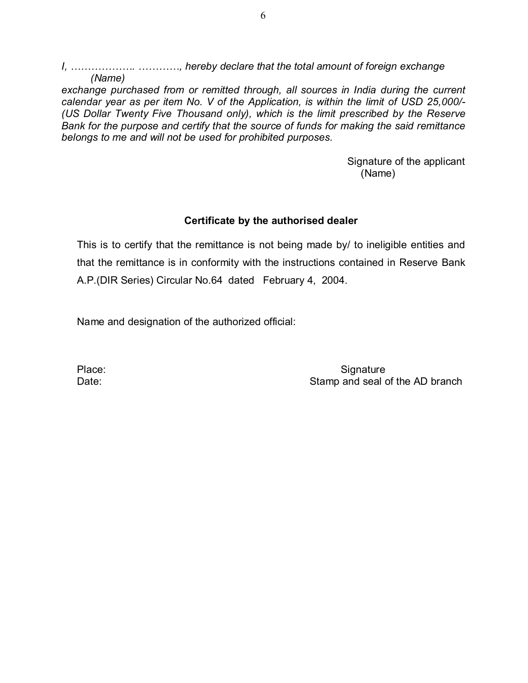*I, ………………. …………, hereby declare that the total amount of foreign exchange (Name)*

*exchange purchased from or remitted through, all sources in India during the current calendar year as per item No. V of the Application, is within the limit of USD 25,000/- (US Dollar Twenty Five Thousand only), which is the limit prescribed by the Reserve Bank for the purpose and certify that the source of funds for making the said remittance belongs to me and will not be used for prohibited purposes.*

> Signature of the applicant (Name)

#### **Certificate by the authorised dealer**

This is to certify that the remittance is not being made by/ to ineligible entities and that the remittance is in conformity with the instructions contained in Reserve Bank A.P.(DIR Series) Circular No.64 dated February 4, 2004.

Name and designation of the authorized official:

Place: Signature Signature Date: Date: Stamp and seal of the AD branch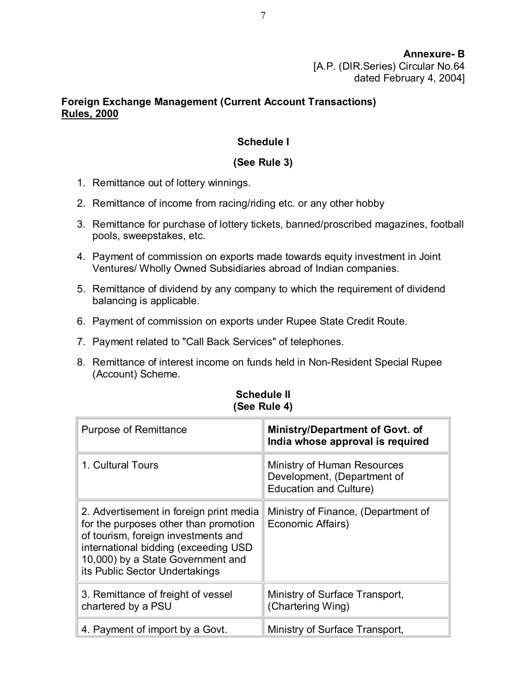## **Foreign Exchange Management (Current Account Transactions) Rules, 2000**

## **Schedule I**

## **(See Rule 3)**

- 1. Remittance out of lottery winnings.
- 2. Remittance of income from racing/riding etc. or any other hobby
- 3. Remittance for purchase of lottery tickets, banned/proscribed magazines, football pools, sweepstakes, etc.
- 4. Payment of commission on exports made towards equity investment in Joint Ventures/ Wholly Owned Subsidiaries abroad of Indian companies.
- 5. Remittance of dividend by any company to which the requirement of dividend balancing is applicable.
- 6. Payment of commission on exports under Rupee State Credit Route.
- 7. Payment related to "Call Back Services" of telephones.
- 8. Remittance of interest income on funds held in Non-Resident Special Rupee (Account) Scheme.

| <b>Purpose of Remittance</b>                                                                                                                                                                                                           | <b>Ministry/Department of Govt. of</b><br>India whose approval is required                  |
|----------------------------------------------------------------------------------------------------------------------------------------------------------------------------------------------------------------------------------------|---------------------------------------------------------------------------------------------|
| 1. Cultural Tours                                                                                                                                                                                                                      | Ministry of Human Resources<br>Development, (Department of<br><b>Education and Culture)</b> |
| 2. Advertisement in foreign print media<br>for the purposes other than promotion<br>of tourism, foreign investments and<br>international bidding (exceeding USD<br>10,000) by a State Government and<br>its Public Sector Undertakings | Ministry of Finance, (Department of<br>Economic Affairs)                                    |
| 3. Remittance of freight of vessel<br>chartered by a PSU                                                                                                                                                                               | Ministry of Surface Transport,<br>(Chartering Wing)                                         |
| 4. Payment of import by a Govt.                                                                                                                                                                                                        | Ministry of Surface Transport,                                                              |

#### **Schedule II (See Rule 4)**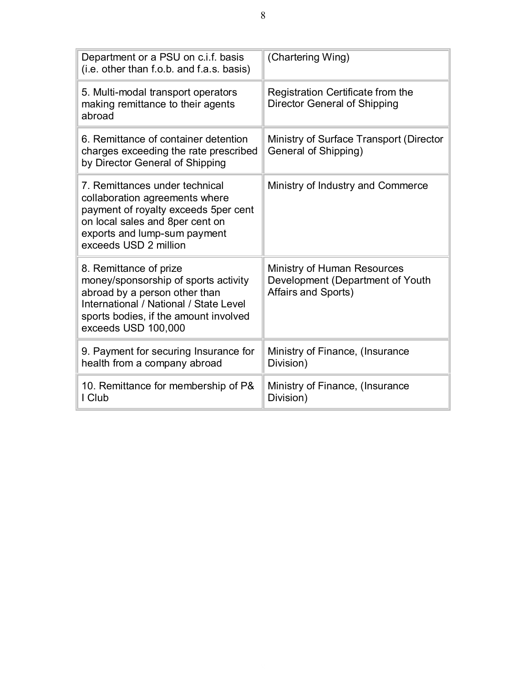| Department or a PSU on c.i.f. basis<br>(i.e. other than f.o.b. and f.a.s. basis)                                                                                                                          | (Chartering Wing)                                                                      |
|-----------------------------------------------------------------------------------------------------------------------------------------------------------------------------------------------------------|----------------------------------------------------------------------------------------|
| 5. Multi-modal transport operators<br>making remittance to their agents<br>abroad                                                                                                                         | Registration Certificate from the<br><b>Director General of Shipping</b>               |
| 6. Remittance of container detention<br>charges exceeding the rate prescribed<br>by Director General of Shipping                                                                                          | Ministry of Surface Transport (Director<br>General of Shipping)                        |
| 7. Remittances under technical<br>collaboration agreements where<br>payment of royalty exceeds 5per cent<br>on local sales and 8per cent on<br>exports and lump-sum payment<br>exceeds USD 2 million      | Ministry of Industry and Commerce                                                      |
| 8. Remittance of prize<br>money/sponsorship of sports activity<br>abroad by a person other than<br>International / National / State Level<br>sports bodies, if the amount involved<br>exceeds USD 100,000 | Ministry of Human Resources<br>Development (Department of Youth<br>Affairs and Sports) |
| 9. Payment for securing Insurance for<br>health from a company abroad                                                                                                                                     | Ministry of Finance, (Insurance<br>Division)                                           |
| 10. Remittance for membership of P&<br>I Club                                                                                                                                                             | Ministry of Finance, (Insurance<br>Division)                                           |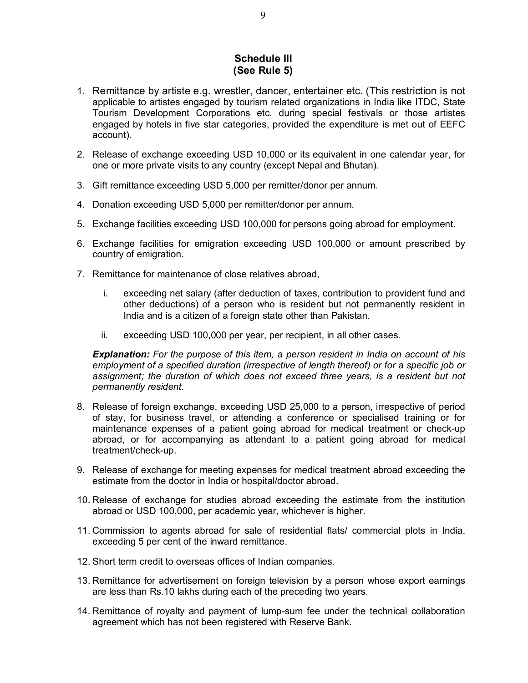#### **Schedule III (See Rule 5)**

- 1. Remittance by artiste e.g. wrestler, dancer, entertainer etc. (This restriction is not applicable to artistes engaged by tourism related organizations in India like ITDC, State Tourism Development Corporations etc. during special festivals or those artistes engaged by hotels in five star categories, provided the expenditure is met out of EEFC account).
- 2. Release of exchange exceeding USD 10,000 or its equivalent in one calendar year, for one or more private visits to any country (except Nepal and Bhutan).
- 3. Gift remittance exceeding USD 5,000 per remitter/donor per annum.
- 4. Donation exceeding USD 5,000 per remitter/donor per annum.
- 5. Exchange facilities exceeding USD 100,000 for persons going abroad for employment.
- 6. Exchange facilities for emigration exceeding USD 100,000 or amount prescribed by country of emigration.
- 7. Remittance for maintenance of close relatives abroad,
	- i. exceeding net salary (after deduction of taxes, contribution to provident fund and other deductions) of a person who is resident but not permanently resident in India and is a citizen of a foreign state other than Pakistan.
	- ii. exceeding USD 100,000 per year, per recipient, in all other cases.

*Explanation: For the purpose of this item, a person resident in India on account of his employment of a specified duration (irrespective of length thereof) or for a specific job or assignment; the duration of which does not exceed three years, is a resident but not permanently resident.*

- 8. Release of foreign exchange, exceeding USD 25,000 to a person, irrespective of period of stay, for business travel, or attending a conference or specialised training or for maintenance expenses of a patient going abroad for medical treatment or check-up abroad, or for accompanying as attendant to a patient going abroad for medical treatment/check-up.
- 9. Release of exchange for meeting expenses for medical treatment abroad exceeding the estimate from the doctor in India or hospital/doctor abroad.
- 10. Release of exchange for studies abroad exceeding the estimate from the institution abroad or USD 100,000, per academic year, whichever is higher.
- 11. Commission to agents abroad for sale of residential flats/ commercial plots in India, exceeding 5 per cent of the inward remittance.
- 12. Short term credit to overseas offices of Indian companies.
- 13. Remittance for advertisement on foreign television by a person whose export earnings are less than Rs.10 lakhs during each of the preceding two years.
- 14. Remittance of royalty and payment of lump-sum fee under the technical collaboration agreement which has not been registered with Reserve Bank.